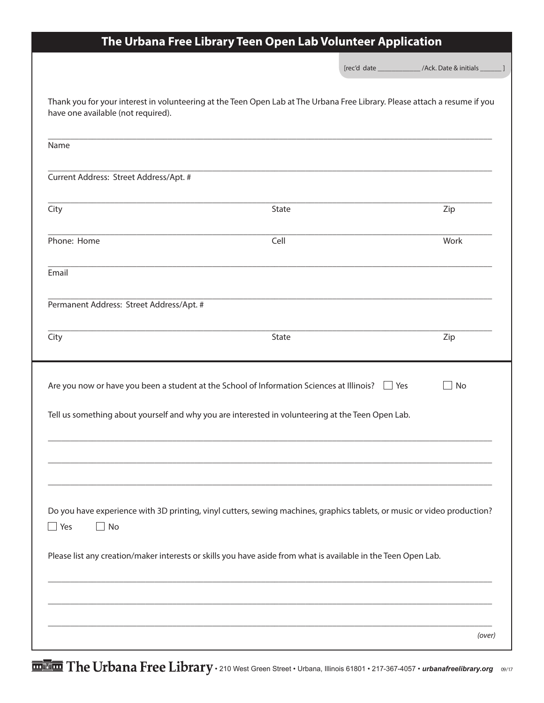| The Urbana Free Library Teen Open Lab Volunteer Application                                                                                                      |       |  |                                                            |
|------------------------------------------------------------------------------------------------------------------------------------------------------------------|-------|--|------------------------------------------------------------|
|                                                                                                                                                                  |       |  | [rec'd date _______________/Ack. Date & initials _______ ] |
| Thank you for your interest in volunteering at the Teen Open Lab at The Urbana Free Library. Please attach a resume if you<br>have one available (not required). |       |  |                                                            |
| Name                                                                                                                                                             |       |  |                                                            |
| Current Address: Street Address/Apt. #                                                                                                                           |       |  |                                                            |
| City                                                                                                                                                             | State |  | Zip                                                        |
| Phone: Home                                                                                                                                                      | Cell  |  | Work                                                       |
| Email                                                                                                                                                            |       |  |                                                            |
| Permanent Address: Street Address/Apt. #                                                                                                                         |       |  |                                                            |
| City                                                                                                                                                             | State |  | Zip                                                        |
| Are you now or have you been a student at the School of Information Sciences at Illinois? $\Box$ Yes                                                             |       |  | No                                                         |
| Tell us something about yourself and why you are interested in volunteering at the Teen Open Lab.                                                                |       |  |                                                            |
|                                                                                                                                                                  |       |  |                                                            |
|                                                                                                                                                                  |       |  |                                                            |
| Do you have experience with 3D printing, vinyl cutters, sewing machines, graphics tablets, or music or video production?<br><b>No</b><br>Yes                     |       |  |                                                            |
| Please list any creation/maker interests or skills you have aside from what is available in the Teen Open Lab.                                                   |       |  |                                                            |
|                                                                                                                                                                  |       |  |                                                            |
|                                                                                                                                                                  |       |  | (over)                                                     |
|                                                                                                                                                                  |       |  |                                                            |